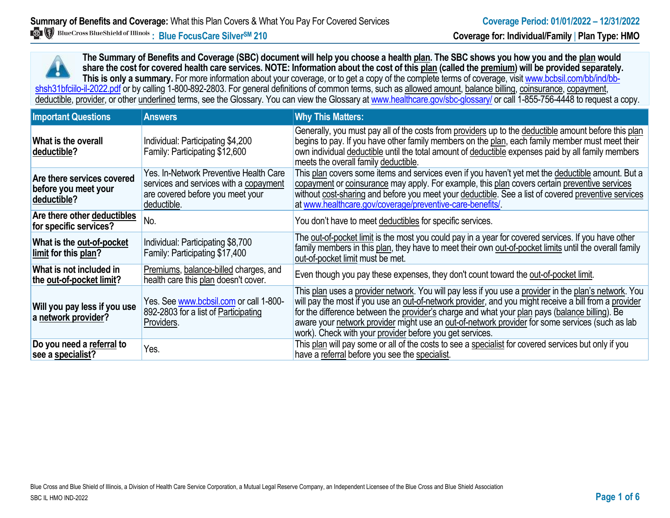**The Summary of Benefits and Coverage (SBC) document will help you choose a health plan. The SBC shows you how you and the plan would share the cost for covered health care services. NOTE: Information about the cost of this plan (called the premium) will be provided separately.** This is only a summary. For more information about your coverage, or to get a copy of the complete terms of coverage, visit www.bcbsil.com/bb/ind/bbshsh31bfciilo-il-2022.pdf or by calling 1-800-892-2803. For general definitions of common terms, such as allowed amount, balance billing, coinsurance, copayment, deductible, provider, or other underlined terms, see the Glossary. You can view the Glossary a[t www.healthcare.gov/sbc-glossary/](http://www.healthcare.gov/sbc-glossary/) or call 1-855-756-4448 to request a copy.

| <b>Important Questions</b>                                        | <b>Answers</b>                                                                                                                      | <b>Why This Matters:</b>                                                                                                                                                                                                                                                                                                                                                                                                                                                        |
|-------------------------------------------------------------------|-------------------------------------------------------------------------------------------------------------------------------------|---------------------------------------------------------------------------------------------------------------------------------------------------------------------------------------------------------------------------------------------------------------------------------------------------------------------------------------------------------------------------------------------------------------------------------------------------------------------------------|
| What is the overall<br>deductible?                                | Individual: Participating \$4,200<br>Family: Participating \$12,600                                                                 | Generally, you must pay all of the costs from providers up to the deductible amount before this plan<br>begins to pay. If you have other family members on the plan, each family member must meet their<br>own individual deductible until the total amount of deductible expenses paid by all family members<br>meets the overall family deductible.                                                                                                                           |
| Are there services covered<br>before you meet your<br>deductible? | Yes. In-Network Preventive Health Care<br>services and services with a copayment<br>are covered before you meet your<br>deductible. | This plan covers some items and services even if you haven't yet met the deductible amount. But a<br>copayment or coinsurance may apply. For example, this plan covers certain preventive services<br>without cost-sharing and before you meet your deductible. See a list of covered preventive services<br>at www.healthcare.gov/coverage/preventive-care-benefits/                                                                                                           |
| Are there other deductibles<br>for specific services?             | No.                                                                                                                                 | You don't have to meet deductibles for specific services.                                                                                                                                                                                                                                                                                                                                                                                                                       |
| What is the out-of-pocket<br>limit for this plan?                 | Individual: Participating \$8,700<br>Family: Participating \$17,400                                                                 | The out-of-pocket limit is the most you could pay in a year for covered services. If you have other<br>family members in this plan, they have to meet their own out-of-pocket limits until the overall family<br>out-of-pocket limit must be met.                                                                                                                                                                                                                               |
| What is not included in<br>the out-of-pocket limit?               | Premiums, balance-billed charges, and<br>health care this plan doesn't cover.                                                       | Even though you pay these expenses, they don't count toward the out-of-pocket limit.                                                                                                                                                                                                                                                                                                                                                                                            |
| Will you pay less if you use<br>a network provider?               | Yes. See www.bcbsil.com or call 1-800-<br>892-2803 for a list of Participating<br>Providers.                                        | This plan uses a provider network. You will pay less if you use a provider in the plan's network. You<br>will pay the most if you use an out-of-network provider, and you might receive a bill from a provider<br>for the difference between the provider's charge and what your plan pays (balance billing). Be<br>aware your network provider might use an out-of-network provider for some services (such as lab<br>work). Check with your provider before you get services. |
| Do you need a referral to<br>see a specialist?                    | Yes.                                                                                                                                | This plan will pay some or all of the costs to see a specialist for covered services but only if you<br>have a referral before you see the specialist.                                                                                                                                                                                                                                                                                                                          |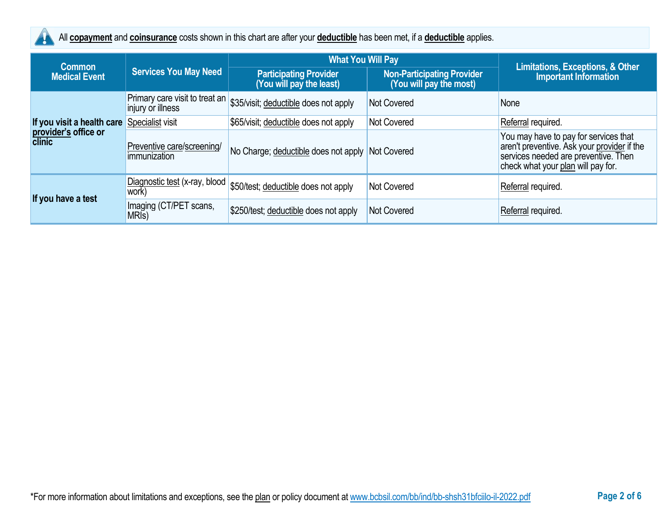

All **copayment** and **coinsurance** costs shown in this chart are after your **deductible** has been met, if a **deductible** applies.

| <b>Common</b>                                                       |                                                     | <b>What You Will Pay</b>                                  |                                                              |                                                                                                                                                                    |
|---------------------------------------------------------------------|-----------------------------------------------------|-----------------------------------------------------------|--------------------------------------------------------------|--------------------------------------------------------------------------------------------------------------------------------------------------------------------|
| <b>Medical Event</b>                                                | <b>Services You May Need</b>                        | <b>Participating Provider</b><br>(You will pay the least) | <b>Non-Participating Provider</b><br>(You will pay the most) | <b>Limitations, Exceptions, &amp; Other</b><br><b>Important Information</b>                                                                                        |
|                                                                     | Primary care visit to treat an<br>injury or illness | \$35/visit; deductible does not apply                     | <b>Not Covered</b>                                           | None                                                                                                                                                               |
| If you visit a health care<br>provider's office or<br><b>clinic</b> | Specialist visit                                    | \$65/visit; deductible does not apply                     | <b>Not Covered</b>                                           | Referral required.                                                                                                                                                 |
|                                                                     | Preventive care/screening/<br>immunization          | No Charge; deductible does not apply                      | Not Covered                                                  | You may have to pay for services that<br>aren't preventive. Ask your provider if the<br>services needed are preventive. Then<br>check what your plan will pay for. |
| If you have a test                                                  | Diagnostic test (x-ray, blood<br>work)              | \$50/test; deductible does not apply                      | <b>Not Covered</b>                                           | Referral required.                                                                                                                                                 |
|                                                                     | Imaging (CT/PET scans,<br>MRI <sub>s</sub> )        | \$250/test; deductible does not apply                     | <b>Not Covered</b>                                           | Referral required.                                                                                                                                                 |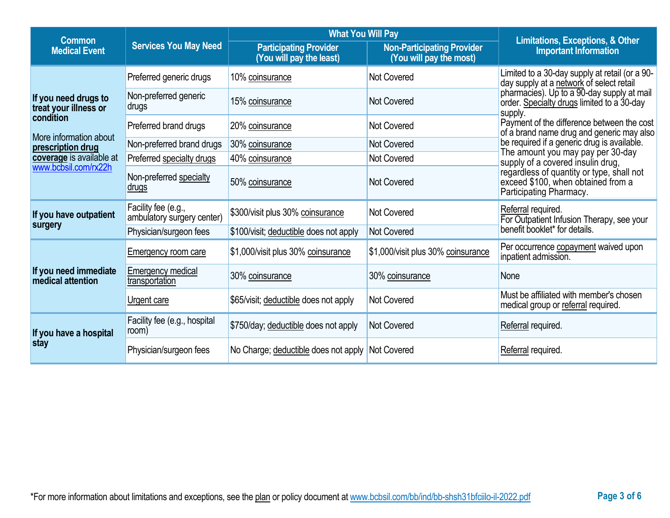| <b>Common</b>                                        |                                                   | <b>What You Will Pay</b>                                  | Limitations, Exceptions, & Other                             |                                                                                                            |
|------------------------------------------------------|---------------------------------------------------|-----------------------------------------------------------|--------------------------------------------------------------|------------------------------------------------------------------------------------------------------------|
| <b>Services You May Need</b><br><b>Medical Event</b> |                                                   | <b>Participating Provider</b><br>(You will pay the least) | <b>Non-Participating Provider</b><br>(You will pay the most) | <b>Important Information</b>                                                                               |
|                                                      | Preferred generic drugs                           | 10% coinsurance                                           | Not Covered                                                  | Limited to a 30-day supply at retail (or a 90-<br>day supply at a network of select retail                 |
| If you need drugs to<br>treat your illness or        | Non-preferred generic<br>drugs                    | 15% coinsurance                                           | <b>Not Covered</b>                                           | pharmacies). Up to a 90-day supply at mail<br>order. Specialty drugs limited to a 30-day<br>supply.        |
| condition                                            | Preferred brand drugs                             | 20% coinsurance                                           | <b>Not Covered</b>                                           | Payment of the difference between the cost<br>of a brand name drug and generic may also                    |
| More information about<br>prescription drug          | Non-preferred brand drugs                         | 30% coinsurance                                           | Not Covered                                                  | be required if a generic drug is available.                                                                |
| coverage is available at                             | Preferred specialty drugs                         | 40% coinsurance                                           | Not Covered                                                  | The amount you may pay per 30-day<br>supply of a covered insulin drug,                                     |
| www.bcbsil.com/rx22h                                 | Non-preferred specialty<br><u>drugs</u>           | 50% coinsurance                                           | Not Covered                                                  | regardless of quantity or type, shall not<br>exceed \$100, when obtained from a<br>Participating Pharmacy. |
| If you have outpatient                               | Facility fee (e.g.,<br>ambulatory surgery center) | \$300/visit plus 30% coinsurance                          | <b>Not Covered</b>                                           | Referral required.<br>For Outpatient Infusion Therapy, see your                                            |
| surgery                                              | Physician/surgeon fees                            | \$100/visit; deductible does not apply                    | Not Covered                                                  | benefit booklet* for details.                                                                              |
|                                                      | <b>Emergency room care</b>                        | \$1,000/visit plus 30% coinsurance                        | \$1,000/visit plus 30% coinsurance                           | Per occurrence copayment waived upon<br>inpatient admission.                                               |
| If you need immediate<br><b>medical attention</b>    | Emergency medical<br>transportation               | 30% coinsurance                                           | 30% coinsurance                                              | None                                                                                                       |
|                                                      | Urgent care                                       | \$65/visit; deductible does not apply                     | Not Covered                                                  | Must be affiliated with member's chosen<br>medical group or referral required.                             |
| If you have a hospital                               | Facility fee (e.g., hospital<br>room)             | \$750/day; deductible does not apply                      | <b>Not Covered</b>                                           | Referral required.                                                                                         |
| stay                                                 | Physician/surgeon fees                            | No Charge; deductible does not apply                      | Not Covered                                                  | Referral required.                                                                                         |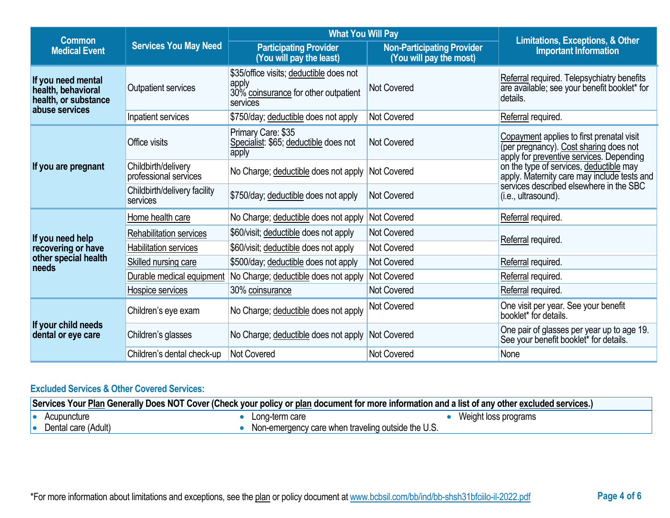| <b>Common</b>                                                                      |                                              | <b>What You Will Pay</b>                                                                             |                                                              |                                                                                                                                 |  |
|------------------------------------------------------------------------------------|----------------------------------------------|------------------------------------------------------------------------------------------------------|--------------------------------------------------------------|---------------------------------------------------------------------------------------------------------------------------------|--|
| <b>Services You May Need</b><br><b>Medical Event</b>                               |                                              | <b>Participating Provider</b><br>(You will pay the least)                                            | <b>Non-Participating Provider</b><br>(You will pay the most) | Limitations, Exceptions, & Other<br><b>Important Information</b>                                                                |  |
| If you need mental<br>health, behavioral<br>health, or substance<br>abuse services | Outpatient services                          | \$35/office visits; deductible does not<br>apply<br>30% coinsurance for other outpatient<br>services | <b>Not Covered</b>                                           | Referral required. Telepsychiatry benefits<br>are available; see your benefit booklet* for<br>details.                          |  |
|                                                                                    | Inpatient services                           | \$750/day; deductible does not apply                                                                 | <b>Not Covered</b>                                           | Referral required.                                                                                                              |  |
|                                                                                    | Office visits                                | Primary Care: \$35<br>Specialist: \$65; deductible does not<br>apply                                 | <b>Not Covered</b>                                           | Copayment applies to first prenatal visit<br>(per pregnancy). Cost sharing does not<br>apply for preventive services. Depending |  |
| If you are pregnant                                                                | Childbirth/delivery<br>professional services | No Charge; deductible does not apply                                                                 | Not Covered                                                  | on the type of services, deductible may<br>apply. Maternity care may include tests and                                          |  |
|                                                                                    | Childbirth/delivery facility<br>services     | \$750/day; deductible does not apply                                                                 | <b>Not Covered</b>                                           | services described elsewhere in the SBC<br>(i.e., ultrasound).                                                                  |  |
|                                                                                    | Home health care                             | No Charge; deductible does not apply                                                                 | Not Covered                                                  | Referral required.                                                                                                              |  |
| If you need help                                                                   | Rehabilitation services                      | \$60/visit; deductible does not apply                                                                | <b>Not Covered</b>                                           | Referral required.                                                                                                              |  |
| recovering or have                                                                 | Habilitation services                        | \$60/visit; deductible does not apply                                                                | <b>Not Covered</b>                                           |                                                                                                                                 |  |
| other special health<br>needs                                                      | Skilled nursing care                         | \$500/day; deductible does not apply                                                                 | <b>Not Covered</b>                                           | Referral required.                                                                                                              |  |
|                                                                                    | Durable medical equipment                    | No Charge; deductible does not apply                                                                 | <b>Not Covered</b>                                           | Referral required.                                                                                                              |  |
|                                                                                    | Hospice services                             | 30% coinsurance                                                                                      | <b>Not Covered</b>                                           | Referral required.                                                                                                              |  |
| If your child needs<br>dental or eye care                                          | Children's eye exam                          | No Charge; deductible does not apply                                                                 | Not Covered                                                  | One visit per year. See your benefit<br>booklet* for details.                                                                   |  |
|                                                                                    | Children's glasses                           | No Charge; deductible does not apply Not Covered                                                     |                                                              | One pair of glasses per year up to age 19.<br>See your benefit booklet* for details.                                            |  |
|                                                                                    | Children's dental check-up                   | Not Covered                                                                                          | <b>Not Covered</b>                                           | None                                                                                                                            |  |

# **Excluded Services & Other Covered Services:**

| Services Your Plan Generally Does NOT Cover (Check your policy or plan document for more information and a list of any other excluded services.) |                     |  |                                                    |                      |
|--------------------------------------------------------------------------------------------------------------------------------------------------|---------------------|--|----------------------------------------------------|----------------------|
| 10                                                                                                                                               | Acupuncture         |  | Long-term care                                     | Weight loss programs |
|                                                                                                                                                  | Dental care (Adult) |  | Non-emergency care when traveling outside the U.S. |                      |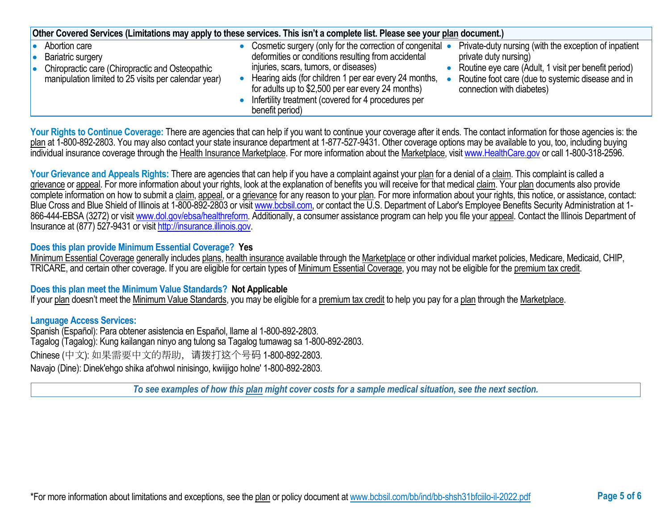| Other Covered Services (Limitations may apply to these services. This isn't a complete list. Please see your plan document.)                                                                                                                                                                                                                                                                                                                                                                                                                                                      |  |  |  |  |  |
|-----------------------------------------------------------------------------------------------------------------------------------------------------------------------------------------------------------------------------------------------------------------------------------------------------------------------------------------------------------------------------------------------------------------------------------------------------------------------------------------------------------------------------------------------------------------------------------|--|--|--|--|--|
| Private-duty nursing (with the exception of inpatient<br>• Cosmetic surgery (only for the correction of congenital •<br>deformities or conditions resulting from accidental<br>private duty nursing)<br>injuries, scars, tumors, or diseases)<br>Routine eye care (Adult, 1 visit per benefit period)<br>Hearing aids (for children 1 per ear every 24 months,<br>Routine foot care (due to systemic disease and in<br>for adults up to \$2,500 per ear every 24 months)<br>connection with diabetes)<br>• Infertility treatment (covered for 4 procedures per<br>benefit period) |  |  |  |  |  |
|                                                                                                                                                                                                                                                                                                                                                                                                                                                                                                                                                                                   |  |  |  |  |  |

Your Rights to Continue Coverage: There are agencies that can help if you want to continue your coverage after it ends. The contact information for those agencies is: the plan at 1-800-892-2803. You may also contact your state insurance department at 1-877-527-9431. Other coverage options may be available to you, too, including buying individual insurance coverage through the Health Insurance Marketplace. For more information about the Marketplace, visi[t www.HealthCare.gov](http://www.healthcare.gov/) or call 1-800-318-2596.

Your Grievance and Appeals Rights: There are agencies that can help if you have a complaint against your plan for a denial of a claim. This complaint is called a grievance or appeal. For more information about your rights, look at the explanation of benefits you will receive for that medical claim. Your plan documents also provide complete information on how to submit a claim, appeal, or a grievance for any reason to your plan. For more information about your rights, this notice, or assistance, contact: Blue Cross and Blue Shield of Illinois at 1-800-892-2803 or visit [www.bcbsil.com,](http://www.bcbsil.com/) or contact the U.S. Department of Labor's Employee Benefits Security Administration at 1866-444-EBSA (3272) or visit [www.dol.gov/ebsa/healthreform.](http://www.dol.gov/ebsa/healthreform) Additionally, a consumer assistance program can help you file your appeal. Contact the Illinois Department of Insurance at (877) 527-9431 or visi[t http://insurance.illinois.gov.](http://insurance.illinois.gov/)

### **Does this plan provide Minimum Essential Coverage? Yes**

Minimum Essential Coverage generally includes plans, health insurance available through the Marketplace or other individual market policies, Medicare, Medicaid, CHIP, TRICARE, and certain other coverage. If you are eligible for certain types of Minimum Essential Coverage, you may not be eligible for the premium tax credit.

### **Does this plan meet the Minimum Value Standards? Not Applicable**

If your plan doesn't meet the Minimum Value Standards, you may be eligible for a premium tax credit to help you pay for a plan through the Marketplace.

### **Language Access Services:**

Spanish (Español): Para obtener asistencia en Español, llame al 1-800-892-2803. Tagalog (Tagalog): Kung kailangan ninyo ang tulong sa Tagalog tumawag sa 1-800-892-2803. Chinese (中文): 如果需要中文的帮助,请拨打这个号码 1-800-892-2803. Navajo (Dine): Dinek'ehgo shika at'ohwol ninisingo, kwiijigo holne' 1-800-892-2803.

*To see examples of how this plan might cover costs for a sample medical situation, see the next section.*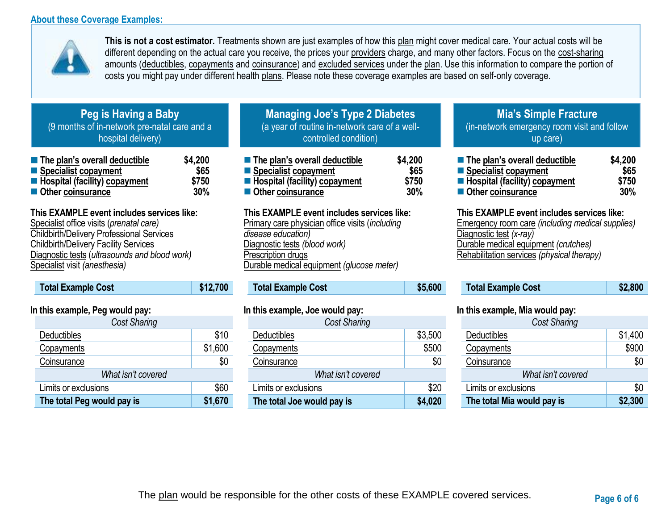### **About these Coverage Examples:**



**This is not a cost estimator.** Treatments shown are just examples of how this plan might cover medical care. Your actual costs will be different depending on the actual care you receive, the prices your providers charge, and many other factors. Focus on the cost-sharing amounts (deductibles, copayments and coinsurance) and excluded services under the plan. Use this information to compare the portion of costs you might pay under different health plans. Please note these coverage examples are based on self-only coverage.

### **Peg is Having a Baby** (9 months of in-network pre-natal care and a hospital delivery)

| The plan's overall deductible          | \$4,200 |
|----------------------------------------|---------|
| ■ Specialist copayment                 | \$65    |
| <b>E</b> Hospital (facility) copayment | \$750   |
| Other coinsurance                      | 30%     |

# **This EXAMPLE event includes services like:**

Specialist office visits (*prenatal care)* Childbirth/Delivery Professional Services Childbirth/Delivery Facility Services Diagnostic tests (*ultrasounds and blood work)* Specialist visit *(anesthesia)* 

# **Total Example Cost \$12,700**

### **In this example, Peg would pay:**

| <b>Cost Sharing</b>        |         |
|----------------------------|---------|
| Deductibles                | \$10    |
| Copayments                 | \$1,600 |
| Coinsurance                | \$0     |
| What isn't covered         |         |
| Limits or exclusions       | \$60    |
| The total Peg would pay is | \$1,670 |

# **Managing Joe's Type 2 Diabetes** (a year of routine in-network care of a wellcontrolled condition)

| The plan's overall deductible          | \$4,200 |
|----------------------------------------|---------|
| ■ Specialist copayment                 | \$65    |
| <b>E</b> Hospital (facility) copayment | \$750   |
| Other coinsurance                      | 30%     |

### **This EXAMPLE event includes services like:**

Primary care physician office visits (*including disease education)* Diagnostic tests *(blood work)* Prescription drugs Durable medical equipment *(glucose meter)* 

# **Total Example Cost \$5,600**

### **In this example, Joe would pay:**

| <b>Cost Sharing</b>        |         |
|----------------------------|---------|
| <b>Deductibles</b>         | \$3,500 |
| Copayments                 | \$500   |
| Coinsurance                | \$0     |
| What isn't covered         |         |
| Limits or exclusions       | \$20    |
| The total Joe would pay is | \$4,020 |

### **Mia's Simple Fracture** (in-network emergency room visit and follow up care)

| ■ The plan's overall deductible | \$4,200 |
|---------------------------------|---------|
| Specialist copayment            | \$65    |
| Hospital (facility) copayment   | \$750   |
| Other coinsurance               | 30%     |

### **This EXAMPLE event includes services like:**

Emergency room care *(including medical supplies)* Diagnostic test *(x-ray)* Durable medical equipment *(crutches)* Rehabilitation services *(physical therapy)*

| <b>Total Example Cost</b> | \$2,800 |
|---------------------------|---------|
|---------------------------|---------|

### **In this example, Mia would pay:**

| <b>Cost Sharing</b>        |         |  |
|----------------------------|---------|--|
| Deductibles                | \$1,400 |  |
| Copayments                 | \$900   |  |
| Coinsurance                | \$0     |  |
| What isn't covered         |         |  |
| Limits or exclusions       | \$0     |  |
| The total Mia would pay is | \$2,300 |  |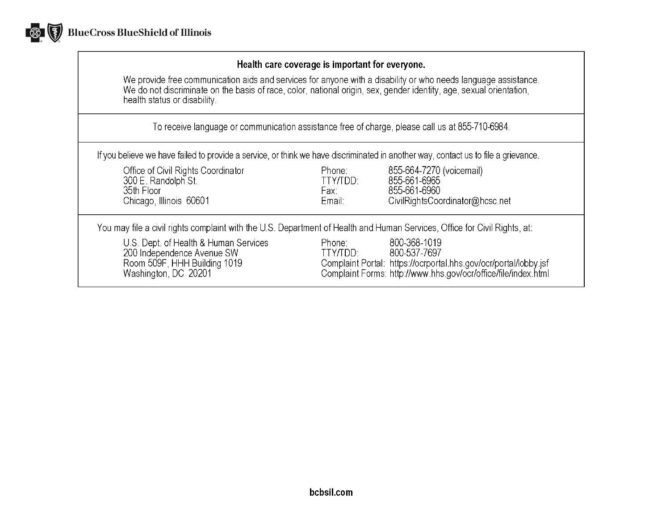

### Health care coverage is important for everyone.

We provide free communication aids and services for anyone with a disability or who needs language assistance.<br>We do not discriminate on the basis of race, color, national origin, sex, gender identity, age, sexual orientat health status or disability.

To receive language or communication assistance free of charge, please call us at 855-710-6984.

If you believe we have failed to provide a service, or think we have discriminated in another way, contact us to file a grievance.

| Office of Civil Rights Coordinator<br>300 E. Randolph St.<br>35th Floor<br>Chicago, Illinois 60601                          | Phone:<br>TTY/TDD:<br>Fax:<br>Email: | 855-664-7270 (voicemail)<br>855-661-6965<br>855-661-6960<br>CivilRightsCoordinator@hcsc.net                                                                        |
|-----------------------------------------------------------------------------------------------------------------------------|--------------------------------------|--------------------------------------------------------------------------------------------------------------------------------------------------------------------|
| You may file a civil rights complaint with the U.S. Department of Health and Human Services, Office for Civil Rights, at:   |                                      |                                                                                                                                                                    |
| U.S. Dept. of Health & Human Services<br>200 Independence Avenue SW<br>Room 509F, HHH Building 1019<br>Washington, DC 20201 | Phone:<br>TTY/TDD:                   | 800-368-1019<br>800-537-7697<br>Complaint Portal: https://ocrportal.hhs.gov/ocr/portal/lobby.jsf<br>Complaint Forms: http://www.hhs.gov/ocr/office/file/index.html |